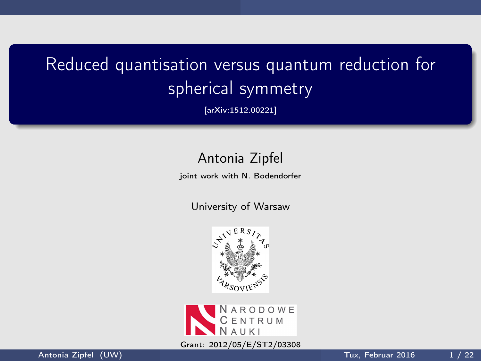# Reduced quantisation versus quantum reduction for spherical symmetry

[arXiv:1512.00221]

### Antonia Zipfel

joint work with N. Bodendorfer

University of Warsaw





Grant: 2012/05/E/ST2/03308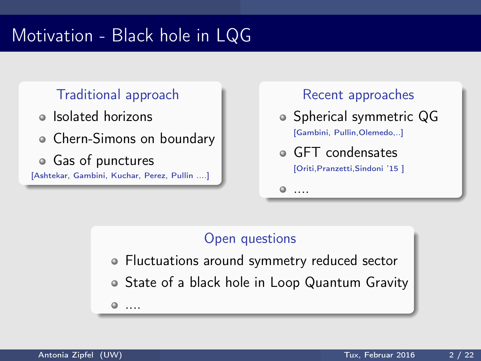# Motivation - Black hole in LQG

### Traditional approach

- Isolated horizons
- Chern-Simons on boundary
- Gas of punctures [Ashtekar, Gambini, Kuchar, Perez, Pullin ....]

....

#### Recent approaches

- Spherical symmetric QG [Gambini, Pullin,Olemedo,..]
- GFT condensates [Oriti,Pranzetti,Sindoni '15 ]

....

### Open questions

- Fluctuations around symmetry reduced sector
- State of a black hole in Loop Quantum Gravity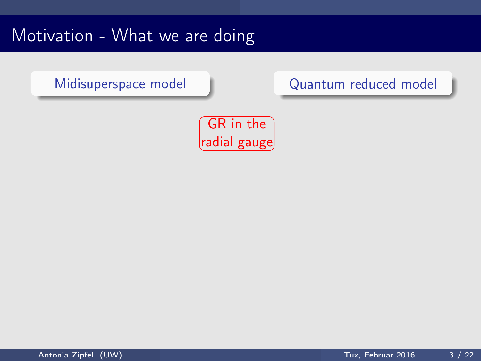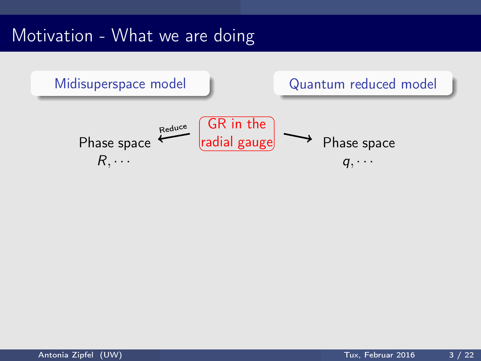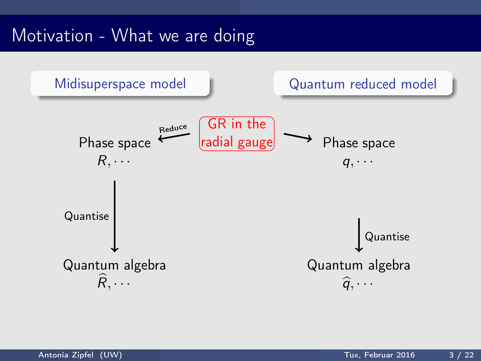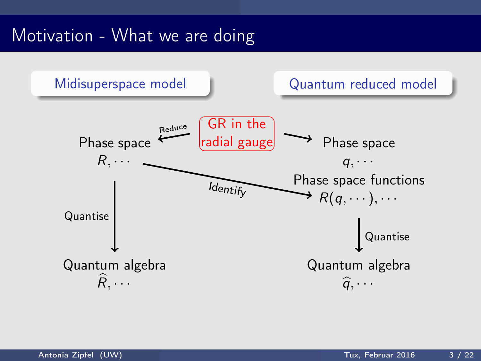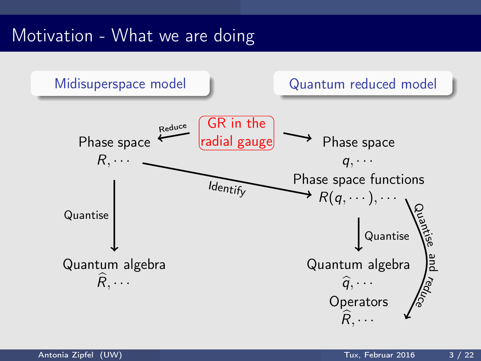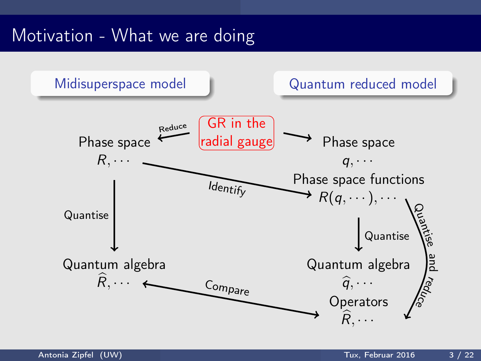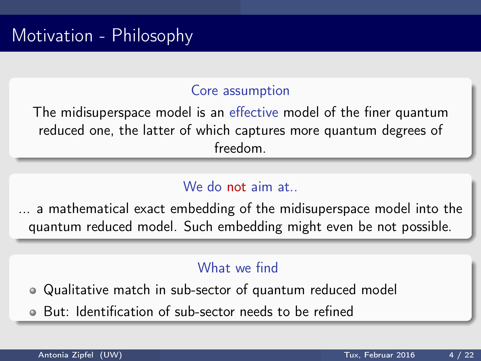### Core assumption

The midisuperspace model is an effective model of the finer quantum reduced one, the latter of which captures more quantum degrees of freedom.

### We do not aim at.

... a mathematical exact embedding of the midisuperspace model into the quantum reduced model. Such embedding might even be not possible.

### What we find

- Qualitative match in sub-sector of quantum reduced model
- But: Identification of sub-sector needs to be refined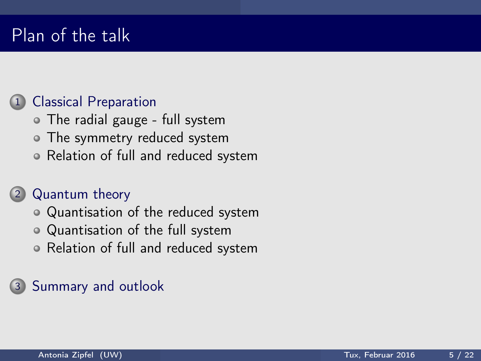# Plan of the talk

### 1 [Classical Preparation](#page-10-0)

- [The radial gauge full system](#page-10-0)
- [The symmetry reduced system](#page-13-0)
- [Relation of full and reduced system](#page-15-0)

### 2 [Quantum theory](#page-17-0)

- [Quantisation of the reduced system](#page-18-0)
- [Quantisation of the full system](#page-20-0)
- [Relation of full and reduced system](#page-21-0)

### 3 [Summary and outlook](#page-28-0)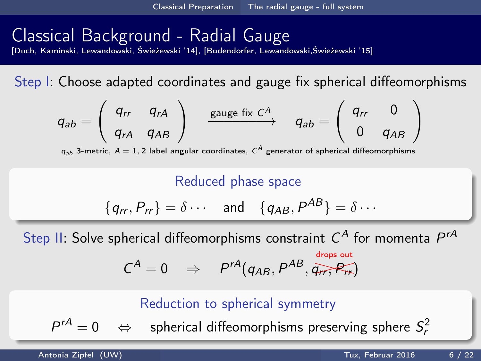# <span id="page-10-0"></span>Classical Background - Radial Gauge

[Duch, Kaminski, Lewandowski, Świeżewski '14], [Bodendorfer, Lewandowski,Świeżewski '15]

Step I: Choose adapted coordinates and gauge fix spherical diffeomorphisms

$$
q_{ab} = \left(\begin{array}{cc} q_{rr} & q_{rA} \\ q_{rA} & q_{AB} \end{array}\right) \xrightarrow{\text{ gauge fix } C^A} q_{ab} = \left(\begin{array}{cc} q_{rr} & 0 \\ 0 & q_{AB} \end{array}\right)
$$

 $q_{ab}$  3-metric,  $A=1,2$  label angular coordinates,  $\textsf{C}^{A}$  generator of spherical diffeomorphisms

Reduced phase space

$$
\{q_{rr}, P_{rr}\} = \delta \cdots \quad \text{and} \quad \{q_{AB}, P^{AB}\} = \delta \cdots
$$

Step II: Solve spherical diffeomorphisms constraint  $C^A$  for momenta  $P^{rA}$ 

$$
C^A = 0 \Rightarrow P^{rA}(q_{AB}, P^{AB}, \overline{q_{rr}}, P_{rr})
$$

#### Reduction to spherical symmetry

 $P^{rA}=0$  $r^A=0 \quad \Leftrightarrow \quad$  spherical diffeomorphisms preserving sphere  $S_r^2$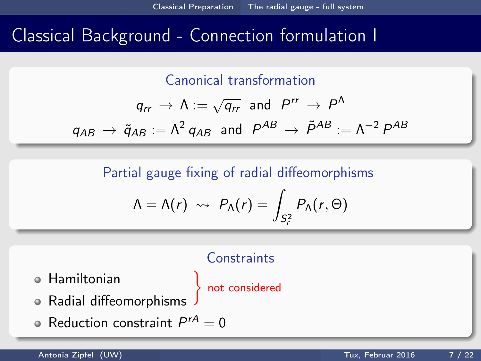## <span id="page-11-0"></span>Classical Background - Connection formulation I

Canonical transformation

$$
q_{rr} \rightarrow \Lambda := \sqrt{q_{rr}} \text{ and } P^{rr} \rightarrow P^{\Lambda}
$$
  

$$
q_{AB} \rightarrow \tilde{q}_{AB} := \Lambda^2 q_{AB} \text{ and } P^{AB} \rightarrow \tilde{P}^{AB} := \Lambda^{-2} P^{AB}
$$

Partial gauge fixing of radial diffeomorphisms

$$
\Lambda = \Lambda(r) \rightsquigarrow P_{\Lambda}(r) = \int_{S_r^2} P_{\Lambda}(r,\Theta)
$$

# **Constraints** not considered

<u>}</u>

- Hamiltonian
- Radial diffeomorphisms
- Reduction constraint  $P^{rA} = 0$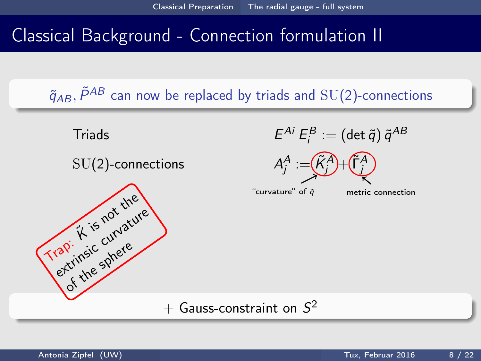## <span id="page-12-0"></span>Classical Background - Connection formulation II

 $\tilde{q}_{AB}$ ,  $\tilde{P}^{AB}$  can now be replaced by triads and SU(2)-connections

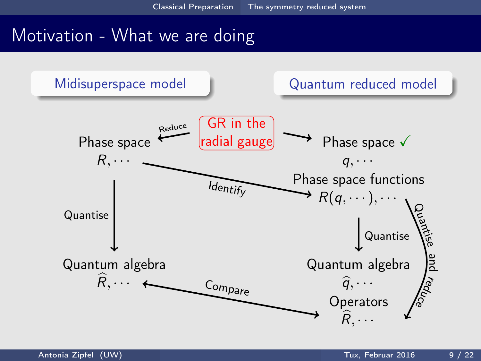<span id="page-13-0"></span>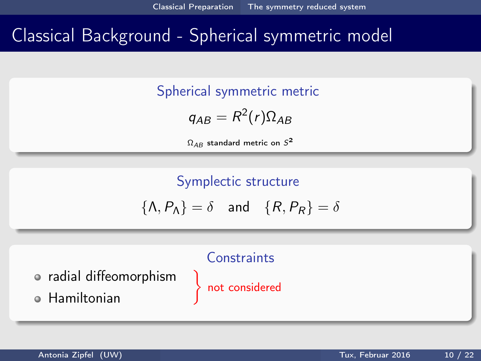# <span id="page-14-0"></span>Classical Background - Spherical symmetric model

Spherical symmetric metric

$$
q_{AB}=R^2(r)\Omega_{AB}
$$

 $\Omega_{AB}$  standard metric on  $S^{\textbf{2}}$ 

Symplectic structure

$$
\{\Lambda, P_{\Lambda}\} = \delta \quad \text{and} \quad \{R, P_R\} = \delta
$$



not considered

**Constraints**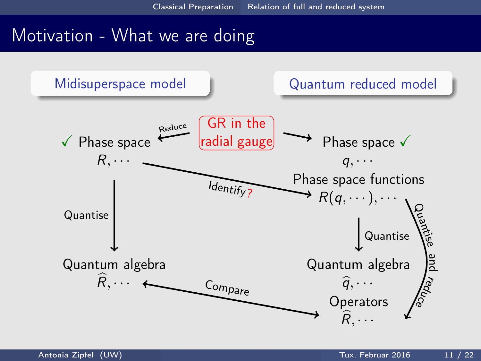<span id="page-15-0"></span>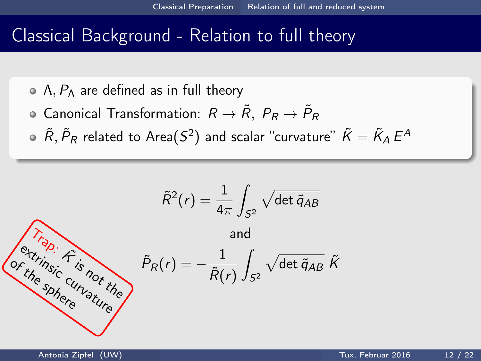### <span id="page-16-0"></span>Classical Background - Relation to full theory

- $\circ$  Λ,  $P_{\Lambda}$  are defined as in full theory
- Canonical Transformation:  $R \rightarrow \tilde{R}$ ,  $P_R \rightarrow \tilde{P}_R$
- $\tilde R, \tilde P_R$  related to Area $(S^2)$  and scalar ''curvature''  $\tilde K = \tilde K_A\,E^A$

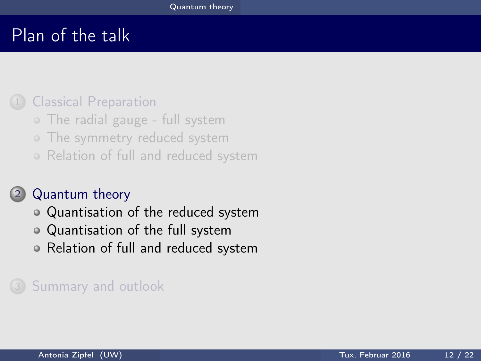# <span id="page-17-0"></span>Plan of the talk

#### **[Classical Preparation](#page-10-0)**

- [The radial gauge full system](#page-10-0)
- o [The symmetry reduced system](#page-13-0)
- [Relation of full and reduced system](#page-15-0)

### 2 [Quantum theory](#page-17-0)

- [Quantisation of the reduced system](#page-18-0)
- [Quantisation of the full system](#page-20-0)
- [Relation of full and reduced system](#page-21-0)

### 3 [Summary and outlook](#page-28-0)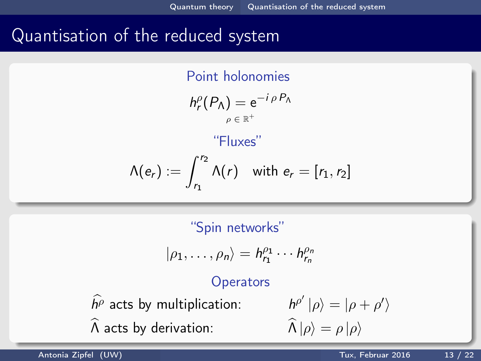## <span id="page-18-0"></span>Quantisation of the reduced system

Point holonomies

$$
h_r^{\rho}(P_{\Lambda}) = e^{-i \, \rho \, P_{\Lambda}}
$$

### "Fluxes"

$$
\Lambda(e_r):=\int_{r_1}^{r_2}\Lambda(r)\quad\text{with }e_r=[r_1,r_2]
$$

"Spin networks"

$$
|\rho_1,\ldots,\rho_n\rangle=h_{r_1}^{\rho_1}\cdots h_{r_n}^{\rho_n}
$$

#### **Operators**

 $\widehat{h^{\rho}}$  acts by multiplication:  $\widehat{\Lambda}$  acts by derivation:

$$
\frac{h^{\rho'}}{|\rho\rangle} = |\rho + \rho'\rangle
$$

$$
\widehat{\Lambda}|\rho\rangle = \rho |\rho\rangle
$$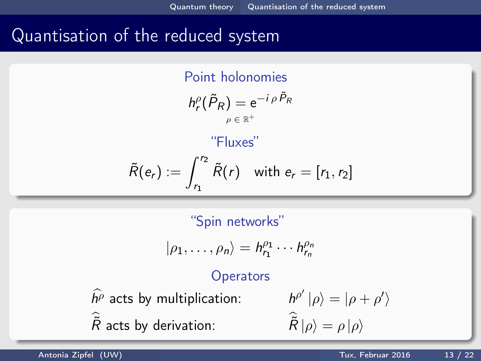## <span id="page-19-0"></span>Quantisation of the reduced system

Point holonomies  $h_r^{\rho}(\tilde{P}_R) = e^{-i \rho \tilde{P}_R}$  $\rho\in\mathbb{R}^+$ "Fluxes"

$$
\widetilde{R}(e_r) := \int_{r_1}^{r_2} \widetilde{R}(r) \quad \text{with } e_r = [r_1, r_2]
$$

"Spin networks"

$$
|\rho_1,\ldots,\rho_n\rangle=h_{r_1}^{\rho_1}\cdots h_{r_n}^{\rho_n}
$$

#### **Operators**

 $\widehat{h^{\rho}}$  acts by multiplication:  $\tilde{R}$  acts by derivation:  $\tilde{R}$ 

$$
\begin{aligned} h^{\rho'}\left|\rho\right\rangle &=|\rho+\rho'\rangle\\ \widehat{\tilde{R}}\left|\rho\right\rangle &= \rho\left|\rho\right\rangle \end{aligned}
$$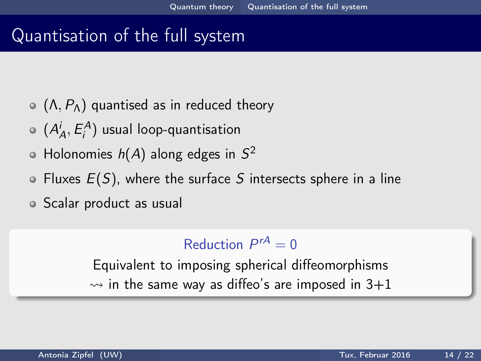### <span id="page-20-0"></span>Quantisation of the full system

- $\circ$  ( $\Lambda$ ,  $P_{\Lambda}$ ) quantised as in reduced theory
- $(A_A^i, E_i^A)$  usual loop-quantisation
- Holonomies  $h(A)$  along edges in  $S^2$
- $\bullet$  Fluxes  $E(S)$ , where the surface S intersects sphere in a line
- Scalar product as usual

### Reduction  $P^{rA} = 0$

Equivalent to imposing spherical diffeomorphisms  $\rightarrow$  in the same way as diffeo's are imposed in 3+1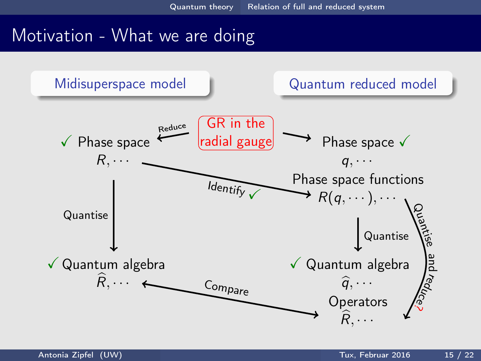<span id="page-21-0"></span>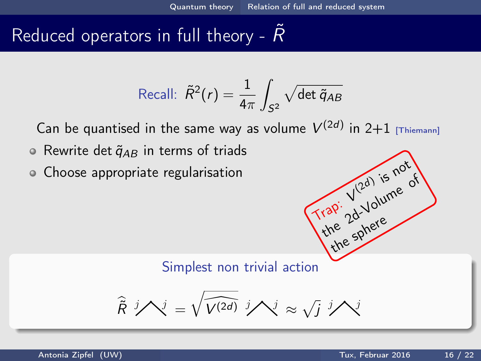$\frac{1}{100}$ 

 $(2d)$ 

the sphere

the 2d-Volume of

is not

# <span id="page-22-0"></span>Reduced operators in full theory -  $R$

Recall: 
$$
\tilde{R}^2(r) = \frac{1}{4\pi} \int_{S^2} \sqrt{\det \tilde{q}_{AB}}
$$

Can be quantised in the same way as volume  $V^{(2d)}$  in 2+1 [Thiemann]

- $\circ$  Rewrite det  $\tilde{q}_{AB}$  in terms of triads
- Choose appropriate regularisation

Simplest non trivial action

$$
\hat{\tilde{R}}^{j} \mathcal{N}^{j} = \sqrt{\widehat{V^{(2d)}}^{j}} \mathcal{N}^{j} \approx \sqrt{j}^{j} \mathcal{N}^{j}
$$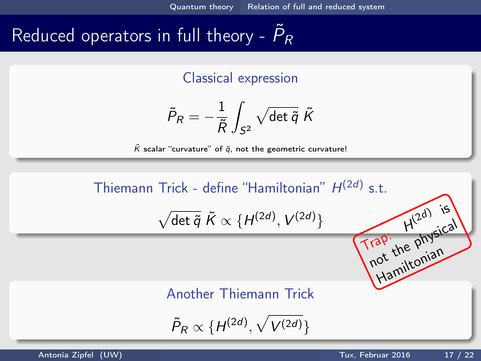# <span id="page-23-0"></span>Reduced operators in full theory -  $\tilde{P}_R$

Classical expression

$$
\tilde{P}_\mathcal{R} = -\frac{1}{\tilde{\mathcal{R}}}\int_{S^2} \sqrt{\det \tilde{q}} \; \tilde{\mathcal{K}}
$$

 $\tilde{K}$  scalar "curvature" of  $\tilde{q}$ , not the geometric curvature!

Thiemann Trick - define "Hamiltonian"  $H^{(2d)}$  s.t.  $\sqrt{\det \tilde{q}} \tilde{K} \propto \{H^{(2d)}, V^{(2d)}\}$  $Trap.$ H rap: H<sup>12</sup> physical

#### Another Thiemann Trick

 $\tilde{P}_R \propto \{H^{(2d)}, \sqrt{V^{(2d)}}\}$ 

 $(2d)$  is

ot thutonian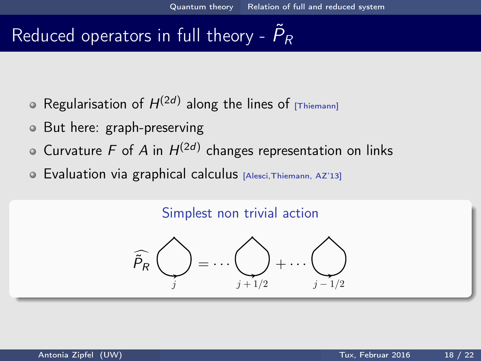# <span id="page-24-0"></span>Reduced operators in full theory -  $\tilde{P}_R$

- Regularisation of  $H^{(2d)}$  along the lines of  $_{[\text{\tiny{Thiemann}]}]}$
- But here: graph-preserving
- Curvature F of A in  $H^{(2d)}$  changes representation on links
- Evaluation via graphical calculus [Alesci,Thiemann, AZ'13]

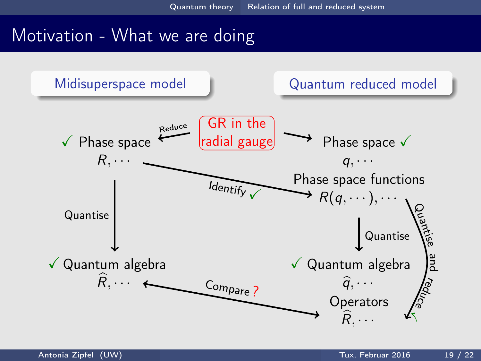<span id="page-25-0"></span>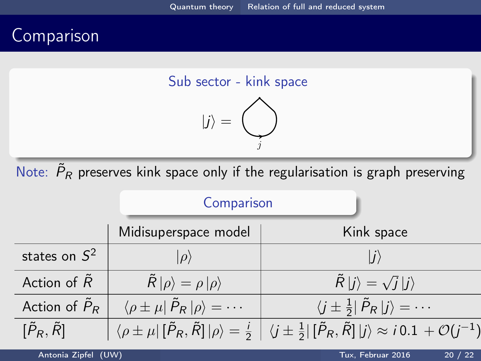# <span id="page-26-0"></span>Comparison





Note:  $\,\tilde{\!\mathit{P}}_\mathit{R}\,$  preserves kink space only if the regularisation is graph preserving

|                           | Comparison                                                   |                                                                                                                                                                                                 |
|---------------------------|--------------------------------------------------------------|-------------------------------------------------------------------------------------------------------------------------------------------------------------------------------------------------|
|                           | Midisuperspace model                                         | Kink space                                                                                                                                                                                      |
| states on $S^2$           |                                                              |                                                                                                                                                                                                 |
| Action of $\tilde{R}$     | $\ddot{R} \rho\rangle = \rho  \rho\rangle$                   | $\hat{R}  j\rangle = \sqrt{j}  j\rangle$                                                                                                                                                        |
| Action of $\tilde{P}_R$   | $\langle \rho \pm \mu   \tilde{P}_R   \rho \rangle = \cdots$ | $\langle j\pm \frac{1}{2} \tilde{P}_R j\rangle = \cdots$                                                                                                                                        |
| $[\tilde{P}_R,\tilde{R}]$ |                                                              | $\left \begin{array}{c} \bra{\rho\pm\mu}[\tilde{P}_R,\tilde{R}]\ket{\rho}=\frac{i}{2}\end{array}\right \bra{j\pm\frac{1}{2}}[\tilde{P}_R,\tilde{R}]\ket{j}\approx i\,0.1\,+\mathcal{O}(j^{-1})$ |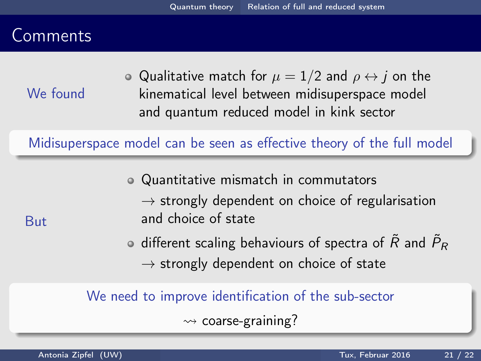## <span id="page-27-0"></span>Comments

But

We found

• Qualitative match for  $\mu = 1/2$  and  $\rho \leftrightarrow j$  on the kinematical level between midisuperspace model and quantum reduced model in kink sector

Midisuperspace model can be seen as effective theory of the full model

Quantitative mismatch in commutators  $\rightarrow$  strongly dependent on choice of regularisation and choice of state

different scaling behaviours of spectra of  $\tilde{R}$  and  $\tilde{P}_R$  $\rightarrow$  strongly dependent on choice of state

We need to improve identification of the sub-sector

 $\rightsquigarrow$  coarse-graining?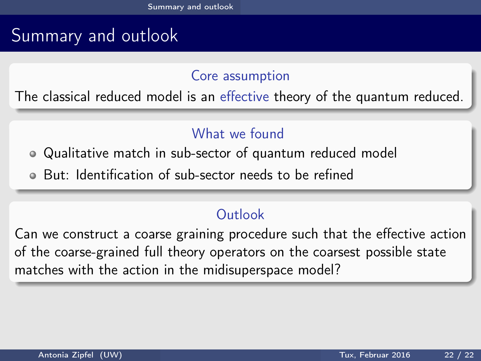# <span id="page-28-0"></span>Summary and outlook

#### Core assumption

The classical reduced model is an effective theory of the quantum reduced.

### What we found

Qualitative match in sub-sector of quantum reduced model

But: Identification of sub-sector needs to be refined

### **Outlook**

Can we construct a coarse graining procedure such that the effective action of the coarse-grained full theory operators on the coarsest possible state matches with the action in the midisuperspace model?